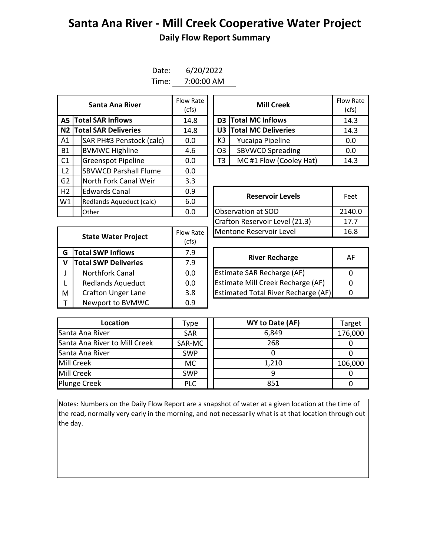## **Santa Ana River - Mill Creek Cooperative Water Project Daily Flow Report Summary**

| Date: | 6/20/2022  |
|-------|------------|
| Time: | 7:00:00 AM |

|                | Santa Ana River              | Flow Rate<br>(cfs) | <b>Mill Creek</b> |                | Flow Ra<br>(cfs)           |       |
|----------------|------------------------------|--------------------|-------------------|----------------|----------------------------|-------|
|                | <b>A5 Total SAR Inflows</b>  | 14.8               |                   |                | <b>D3</b> Total MC Inflows | 14.3  |
|                | N2 Total SAR Deliveries      | 14.8               |                   |                | U3 Total MC Deliveries     | 14.3  |
| A1             | SAR PH#3 Penstock (calc)     | 0.0                |                   | K3             | Yucaipa Pipeline           | 0.0   |
| <b>B1</b>      | <b>BVMWC Highline</b>        | 4.6                |                   | O <sub>3</sub> | <b>SBVWCD Spreading</b>    | 0.0   |
| C <sub>1</sub> | <b>Greenspot Pipeline</b>    | 0.0                |                   | T3             | MC#1 Flow (Cooley Hat)     | 14.3  |
| L <sub>2</sub> | <b>SBVWCD Parshall Flume</b> | 0.0                |                   |                |                            |       |
| G2             | North Fork Canal Weir        | 3.3                |                   |                |                            |       |
| H2             | <b>Edwards Canal</b>         | 0.9                |                   |                | <b>Reservoir Levels</b>    | Feet  |
| W1             | Redlands Aqueduct (calc)     | 6.0                |                   |                |                            |       |
|                | Other                        | 0.0                |                   |                | Observation at SOD         | 2140. |

| Santa Ana River         | Flow Rate<br>(cfs) |  | <b>Mill Creek</b>            |                         |      |  | Flow Rate<br>(cfs) |
|-------------------------|--------------------|--|------------------------------|-------------------------|------|--|--------------------|
| <b>I SAR Inflows</b>    | 14.8               |  |                              | D3 Total MC Inflows     | 14.3 |  |                    |
| <b>I SAR Deliveries</b> | 14.8               |  |                              | U3 Total MC Deliveries  | 14.3 |  |                    |
| AR PH#3 Penstock (calc) | 0.0                |  | K3                           | Yucaipa Pipeline        | 0.0  |  |                    |
| /MWC Highline           | 4.6                |  | O <sub>3</sub>               | <b>SBVWCD Spreading</b> | 0.0  |  |                    |
| reenspot Pipeline       | 0.0                |  | MC#1 Flow (Cooley Hat)<br>T3 |                         | 14.3 |  |                    |

| ------------                    | .                | <b>Reservoir Levels</b>        | Feet   |  |
|---------------------------------|------------------|--------------------------------|--------|--|
| 6.0<br>Redlands Aqueduct (calc) |                  |                                |        |  |
| Other                           | 0.0              | Observation at SOD             | 2140.0 |  |
|                                 |                  | Crafton Reservoir Level (21.3) | 17.7   |  |
|                                 | <b>Flow Rate</b> | Mentone Reservoir Level        | 16.8   |  |
| <b>State Water Project</b>      | rcfs)            |                                |        |  |

| <b>State Water Project</b> |                             | Flow Rate | Mentone Reservoir Level                    |          |  |  |  |
|----------------------------|-----------------------------|-----------|--------------------------------------------|----------|--|--|--|
|                            |                             | (cfs)     |                                            |          |  |  |  |
| G                          | <b>Total SWP Inflows</b>    | 7.9       | <b>River Recharge</b>                      | A        |  |  |  |
|                            | <b>Total SWP Deliveries</b> | 7.9       |                                            |          |  |  |  |
|                            | <b>Northfork Canal</b>      | 0.0       | Estimate SAR Recharge (AF)                 | $\Omega$ |  |  |  |
|                            | <b>Redlands Aqueduct</b>    | 0.0       | Estimate Mill Creek Recharge (AF)          | $\Omega$ |  |  |  |
| M                          | <b>Crafton Unger Lane</b>   | 3.8       | <b>Estimated Total River Recharge (AF)</b> | $\Omega$ |  |  |  |
|                            | Newport to BVMWC            | 0.9       |                                            |          |  |  |  |

| <b>River Recharge</b>                      | АF |
|--------------------------------------------|----|
| Estimate SAR Recharge (AF)                 |    |
| Estimate Mill Creek Recharge (AF)          |    |
| <b>Estimated Total River Recharge (AF)</b> |    |

| Location                      | Type       | WY to Date (AF) | Target  |
|-------------------------------|------------|-----------------|---------|
| Santa Ana River               | <b>SAR</b> | 6,849           | 176,000 |
| Santa Ana River to Mill Creek | SAR-MC     | 268             |         |
| Santa Ana River               | <b>SWP</b> |                 |         |
| Mill Creek                    | МC         | 1,210           | 106,000 |
| Mill Creek                    | <b>SWP</b> |                 |         |
| <b>Plunge Creek</b>           | <b>PLC</b> | 851             |         |

Notes: Numbers on the Daily Flow Report are a snapshot of water at a given location at the time of the read, normally very early in the morning, and not necessarily what is at that location through out the day.